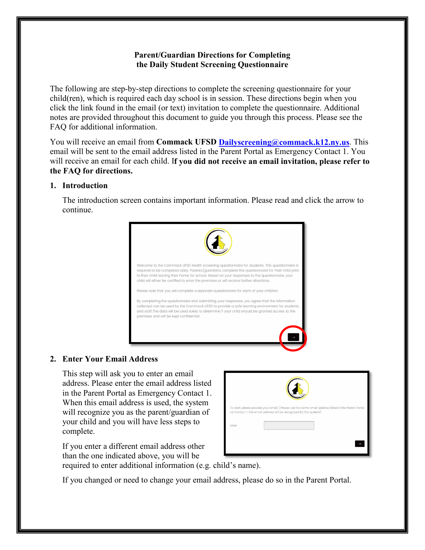# **Parent/Guardian Directions for Completing the Daily Student Screening Questionnaire**

The following are step-by-step directions to complete the screening questionnaire for your child(ren), which is required each day school is in session. These directions begin when you click the link found in the email (or text) invitation to complete the questionnaire. Additional notes are provided throughout this document to guide you through this process. Please see the FAQ for additional information.

You will receive an email from **Commack UFSD [Dailyscreening@commack.k12.ny.us](mailto:Dailyscreening@commack.k12.ny.us)**. This email will be sent to the email address listed in the Parent Portal as Emergency Contact 1. You will receive an email for each child. I**f you did not receive an email invitation, please refer to the FAQ for directions.**

## **1. Introduction**

The introduction screen contains important information. Please read and click the arrow to continue.



## **2. Enter Your Email Address**

This step will ask you to enter an email address. Please enter the email address listed in the Parent Portal as Emergency Contact 1. When this email address is used, the system will recognize you as the parent/guardian of your child and you will have less steps to complete.

If you enter a different email address other than the one indicated above, you will be required to enter additional information (e.g. child's name).

If you changed or need to change your email address, please do so in the Parent Portal.

|       | To start, please provide your email. (Please use the same email address listed in the Parent Portal<br>as Contact 1; this email address will be recognized by this system): |
|-------|-----------------------------------------------------------------------------------------------------------------------------------------------------------------------------|
|       |                                                                                                                                                                             |
| Email |                                                                                                                                                                             |
|       |                                                                                                                                                                             |
|       |                                                                                                                                                                             |
|       |                                                                                                                                                                             |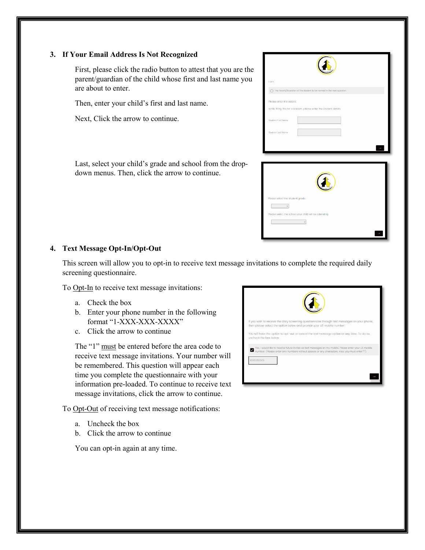#### **3. If Your Email Address Is Not Recognized**

First, please click the radio button to attest that you are the parent/guardian of the child whose first and last name you are about to enter.

Then, enter your child's first and last name.

Next, Click the arrow to continue.

Last, select your child's grade and school from the dropdown menus. Then, click the arrow to continue.

| I am:                            |                                                                     |
|----------------------------------|---------------------------------------------------------------------|
|                                  | The Parent/Guardian of the student to be named in the next question |
| Please enter the details:        |                                                                     |
|                                  | While filling this for a student, please enter the student details. |
| Student First Name               |                                                                     |
| Student Last Name                |                                                                     |
|                                  |                                                                     |
|                                  |                                                                     |
|                                  |                                                                     |
|                                  |                                                                     |
|                                  |                                                                     |
|                                  |                                                                     |
| Please select the student grade: |                                                                     |
| $_{\rm v}$                       |                                                                     |

 $\mathcal{L}_{\mathcal{F}}$ 

## **4. Text Message Opt-In/Opt-Out**

This screen will allow you to opt-in to receive text message invitations to complete the required daily screening questionnaire.

To Opt-In to receive text message invitations:

- a. Check the box
- b. Enter your phone number in the following format "1-XXX-XXX-XXXX"
- c. Click the arrow to continue

The "1" must be entered before the area code to receive text message invitations. Your number will be remembered. This question will appear each time you complete the questionnaire with your information pre-loaded. To continue to receive text message invitations, click the arrow to continue.

To Opt-Out of receiving text message notifications:

- a. Uncheck the box
- b. Click the arrow to continue

You can opt-in again at any time.

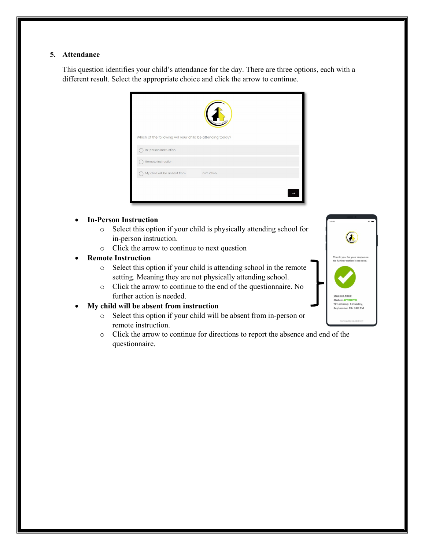### **5. Attendance**

This question identifies your child's attendance for the day. There are three options, each with a different result. Select the appropriate choice and click the arrow to continue.

| Which of the following will your child be attending today? |              |  |  |  |
|------------------------------------------------------------|--------------|--|--|--|
| In-person Instruction                                      |              |  |  |  |
| Remote Instruction                                         |              |  |  |  |
| My child will be absent from                               | instruction. |  |  |  |
|                                                            |              |  |  |  |
|                                                            |              |  |  |  |

#### • **In-Person Instruction**

- o Select this option if your child is physically attending school for in-person instruction.
- o Click the arrow to continue to next question

## • **Remote Instruction**

- o Select this option if your child is attending school in the remote setting. Meaning they are not physically attending school.
- o Click the arrow to continue to the end of the questionnaire. No further action is needed.

## • **My child will be absent from instruction**

- o Select this option if your child will be absent from in-person or remote instruction.
- o Click the arrow to continue for directions to report the absence and end of the questionnaire.

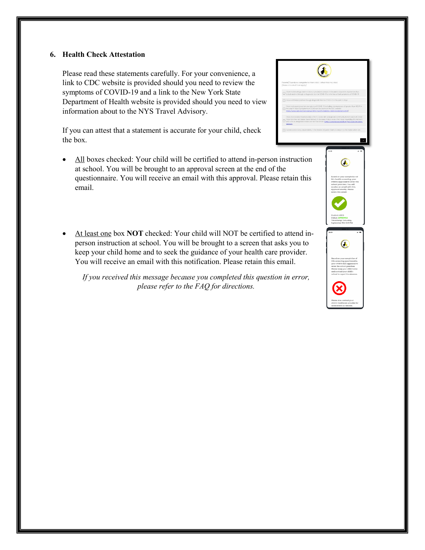## **6. Health Check Attestation**

Please read these statements carefully. For your convenience, a link to CDC website is provided should you need to review the symptoms of COVID-19 and a link to the New York State Department of Health website is provided should you need to view information about to the NYS Travel Advisory.

If you can attest that a statement is accurate for your child, check the box.

- All boxes checked: Your child will be certified to attend in-person instruction at school. You will be brought to an approval screen at the end of the questionnaire. You will receive an email with this approval. Please retain this email.
- At least one box **NOT** checked: Your child will NOT be certified to attend inperson instruction at school. You will be brought to a screen that asks you to keep your child home and to seek the guidance of your health care provider. You will receive an email with this notification. Please retain this email.

*If you received this message because you completed this question in error, please refer to the FAQ for directions.*

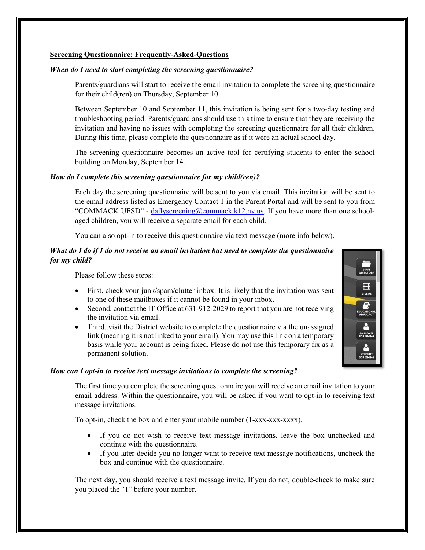#### **Screening Questionnaire: Frequently-Asked-Questions**

#### *When do I need to start completing the screening questionnaire?*

Parents/guardians will start to receive the email invitation to complete the screening questionnaire for their child(ren) on Thursday, September 10.

Between September 10 and September 11, this invitation is being sent for a two-day testing and troubleshooting period. Parents/guardians should use this time to ensure that they are receiving the invitation and having no issues with completing the screening questionnaire for all their children. During this time, please complete the questionnaire as if it were an actual school day.

The screening questionnaire becomes an active tool for certifying students to enter the school building on Monday, September 14.

#### *How do I complete this screening questionnaire for my child(ren)?*

Each day the screening questionnaire will be sent to you via email. This invitation will be sent to the email address listed as Emergency Contact 1 in the Parent Portal and will be sent to you from "COMMACK UFSD" - [dailyscreening@commack.k12.ny.us.](mailto:dailyscreening@commack.k12.ny.us) If you have more than one schoolaged children, you will receive a separate email for each child.

You can also opt-in to receive this questionnaire via text message (more info below).

## *What do I do if I do not receive an email invitation but need to complete the questionnaire for my child?*

Please follow these steps:

- First, check your junk/spam/clutter inbox. It is likely that the invitation was sent to one of these mailboxes if it cannot be found in your inbox.
- Second, contact the IT Office at 631-912-2029 to report that you are not receiving the invitation via email.
- Third, visit the District website to complete the questionnaire via the unassigned link (meaning it is not linked to your email). You may use this link on a temporary basis while your account is being fixed. Please do not use this temporary fix as a permanent solution.

#### *How can I opt-in to receive text message invitations to complete the screening?*

The first time you complete the screening questionnaire you will receive an email invitation to your email address. Within the questionnaire, you will be asked if you want to opt-in to receiving text message invitations.

To opt-in, check the box and enter your mobile number (1-xxx-xxx-xxxx).

- If you do not wish to receive text message invitations, leave the box unchecked and continue with the questionnaire.
- If you later decide you no longer want to receive text message notifications, uncheck the box and continue with the questionnaire.

The next day, you should receive a text message invite. If you do not, double-check to make sure you placed the "1" before your number.

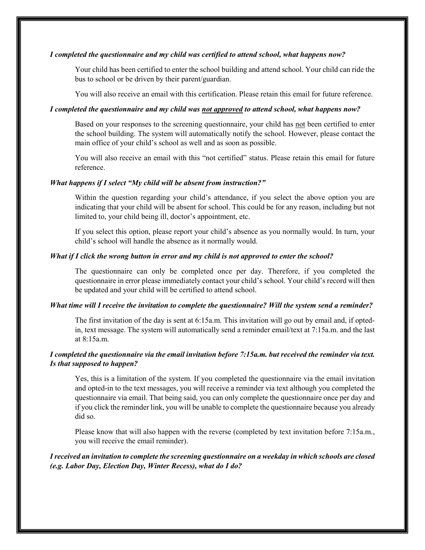#### *I completed the questionnaire and my child was certified to attend school, what happens now?*

Your child has been certified to enter the school building and attend school. Your child can ride the bus to school or be driven by their parent/guardian.

You will also receive an email with this certification. Please retain this email for future reference.

### *I completed the questionnaire and my child was not approved to attend school, what happens now?*

Based on your responses to the screening questionnaire, your child has not been certified to enter the school building. The system will automatically notify the school. However, please contact the main office of your child's school as well and as soon as possible.

You will also receive an email with this "not certified" status. Please retain this email for future reference.

#### *What happens if I select "My child will be absent from instruction?"*

Within the question regarding your child's attendance, if you select the above option you are indicating that your child will be absent for school. This could be for any reason, including but not limited to, your child being ill, doctor's appointment, etc.

If you select this option, please report your child's absence as you normally would. In turn, your child's school will handle the absence as it normally would.

#### *What if I click the wrong button in error and my child is not approved to enter the school?*

The questionnaire can only be completed once per day. Therefore, if you completed the questionnaire in error please immediately contact your child's school. Your child's record will then be updated and your child will be certified to attend school.

## *What time will I receive the invitation to complete the questionnaire? Will the system send a reminder?*

The first invitation of the day is sent at 6:15a.m. This invitation will go out by email and, if optedin, text message. The system will automatically send a reminder email/text at 7:15a.m. and the last at 8:15a.m.

## *I completed the questionnaire via the email invitation before 7:15a.m. but received the reminder via text. Is that supposed to happen?*

Yes, this is a limitation of the system. If you completed the questionnaire via the email invitation and opted-in to the text messages, you will receive a reminder via text although you completed the questionnaire via email. That being said, you can only complete the questionnaire once per day and if you click the reminder link, you will be unable to complete the questionnaire because you already did so.

Please know that will also happen with the reverse (completed by text invitation before 7:15a.m., you will receive the email reminder).

## *I received an invitation to complete the screening questionnaire on a weekday in which schools are closed (e.g. Labor Day, Election Day, Winter Recess), what do I do?*